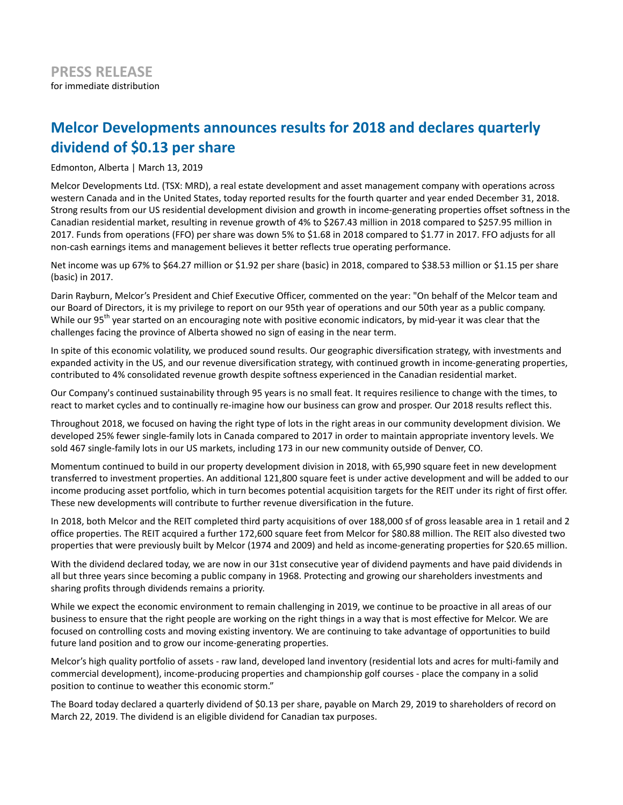# **Melcor Developments announces results for 2018 and declares quarterly dividend of \$0.13 per share**

Edmonton, Alberta | March 13, 2019

Melcor Developments Ltd. (TSX: MRD), a real estate development and asset management company with operations across western Canada and in the United States, today reported results for the fourth quarter and year ended December 31, 2018. Strong results from our US residential development division and growth in income-generating properties offset softness in the Canadian residential market, resulting in revenue growth of 4% to \$267.43 million in 2018 compared to \$257.95 million in 2017. Funds from operations (FFO) per share was down 5% to \$1.68 in 2018 compared to \$1.77 in 2017. FFO adjusts for all non-cash earnings items and management believes it better reflects true operating performance.

Net income was up 67% to \$64.27 million or \$1.92 per share (basic) in 2018, compared to \$38.53 million or \$1.15 per share (basic) in 2017.

Darin Rayburn, Melcor's President and Chief Executive Officer, commented on the year: "On behalf of the Melcor team and our Board of Directors, it is my privilege to report on our 95th year of operations and our 50th year as a public company. While our 95<sup>th</sup> year started on an encouraging note with positive economic indicators, by mid-year it was clear that the challenges facing the province of Alberta showed no sign of easing in the near term.

In spite of this economic volatility, we produced sound results. Our geographic diversification strategy, with investments and expanded activity in the US, and our revenue diversification strategy, with continued growth in income-generating properties, contributed to 4% consolidated revenue growth despite softness experienced in the Canadian residential market.

Our Company's continued sustainability through 95 years is no small feat. It requires resilience to change with the times, to react to market cycles and to continually re-imagine how our business can grow and prosper. Our 2018 results reflect this.

Throughout 2018, we focused on having the right type of lots in the right areas in our community development division. We developed 25% fewer single-family lots in Canada compared to 2017 in order to maintain appropriate inventory levels. We sold 467 single-family lots in our US markets, including 173 in our new community outside of Denver, CO.

Momentum continued to build in our property development division in 2018, with 65,990 square feet in new development transferred to investment properties. An additional 121,800 square feet is under active development and will be added to our income producing asset portfolio, which in turn becomes potential acquisition targets for the REIT under its right of first offer. These new developments will contribute to further revenue diversification in the future.

In 2018, both Melcor and the REIT completed third party acquisitions of over 188,000 sf of gross leasable area in 1 retail and 2 office properties. The REIT acquired a further 172,600 square feet from Melcor for \$80.88 million. The REIT also divested two properties that were previously built by Melcor (1974 and 2009) and held as income-generating properties for \$20.65 million.

With the dividend declared today, we are now in our 31st consecutive year of dividend payments and have paid dividends in all but three years since becoming a public company in 1968. Protecting and growing our shareholders investments and sharing profits through dividends remains a priority.

While we expect the economic environment to remain challenging in 2019, we continue to be proactive in all areas of our business to ensure that the right people are working on the right things in a way that is most effective for Melcor. We are focused on controlling costs and moving existing inventory. We are continuing to take advantage of opportunities to build future land position and to grow our income-generating properties.

Melcor's high quality portfolio of assets - raw land, developed land inventory (residential lots and acres for multi-family and commercial development), income-producing properties and championship golf courses - place the company in a solid position to continue to weather this economic storm."

The Board today declared a quarterly dividend of \$0.13 per share, payable on March 29, 2019 to shareholders of record on March 22, 2019. The dividend is an eligible dividend for Canadian tax purposes.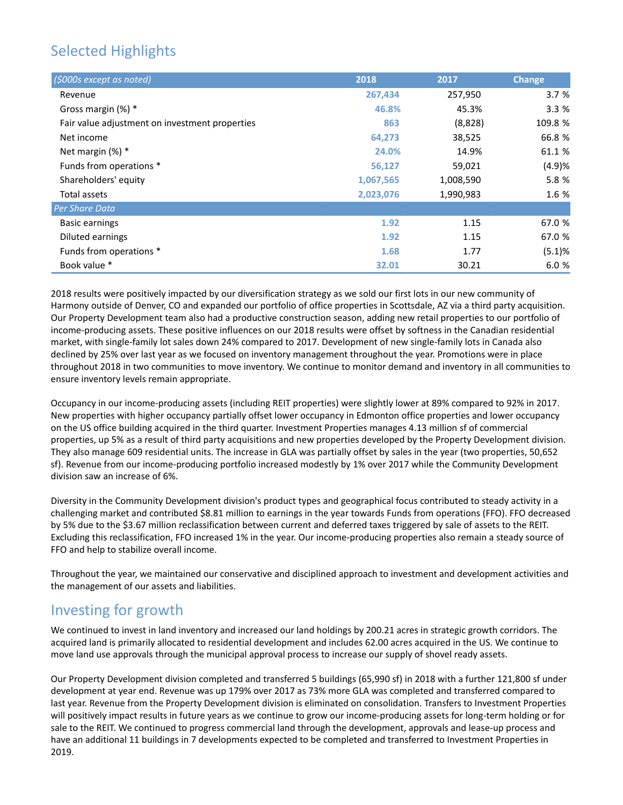# Selected Highlights

| (\$000s except as noted)                       | 2018      | 2017      | <b>Change</b> |
|------------------------------------------------|-----------|-----------|---------------|
| Revenue                                        | 267,434   | 257,950   | 3.7%          |
| Gross margin (%) *                             | 46.8%     | 45.3%     | 3.3%          |
| Fair value adjustment on investment properties | 863       | (8,828)   | 109.8 %       |
| Net income                                     | 64,273    | 38,525    | 66.8 %        |
| Net margin $(\%)$ *                            | 24.0%     | 14.9%     | 61.1 %        |
| Funds from operations *                        | 56,127    | 59,021    | (4.9)%        |
| Shareholders' equity                           | 1,067,565 | 1,008,590 | 5.8 %         |
| Total assets                                   | 2,023,076 | 1,990,983 | 1.6 %         |
| Per Share Data                                 |           |           |               |
| <b>Basic earnings</b>                          | 1.92      | 1.15      | 67.0 %        |
| Diluted earnings                               | 1.92      | 1.15      | 67.0 %        |
| Funds from operations *                        | 1.68      | 1.77      | (5.1)%        |
| Book value *                                   | 32.01     | 30.21     | 6.0 %         |

2018 results were positively impacted by our diversification strategy as we sold our first lots in our new community of Harmony outside of Denver, CO and expanded our portfolio of office properties in Scottsdale, AZ via a third party acquisition. Our Property Development team also had a productive construction season, adding new retail properties to our portfolio of income-producing assets. These positive influences on our 2018 results were offset by softness in the Canadian residential market, with single-family lot sales down 24% compared to 2017. Development of new single-family lots in Canada also declined by 25% over last year as we focused on inventory management throughout the year. Promotions were in place throughout 2018 in two communities to move inventory. We continue to monitor demand and inventory in all communities to ensure inventory levels remain appropriate.

Occupancy in our income-producing assets (including REIT properties) were slightly lower at 89% compared to 92% in 2017. New properties with higher occupancy partially offset lower occupancy in Edmonton office properties and lower occupancy on the US office building acquired in the third quarter. Investment Properties manages 4.13 million sf of commercial properties, up 5% as a result of third party acquisitions and new properties developed by the Property Development division. They also manage 609 residential units. The increase in GLA was partially offset by sales in the year (two properties, 50,652 sf). Revenue from our income-producing portfolio increased modestly by 1% over 2017 while the Community Development division saw an increase of 6%.

Diversity in the Community Development division's product types and geographical focus contributed to steady activity in a challenging market and contributed \$8.81 million to earnings in the year towards Funds from operations (FFO). FFO decreased by 5% due to the \$3.67 million reclassification between current and deferred taxes triggered by sale of assets to the REIT. Excluding this reclassification, FFO increased 1% in the year. Our income-producing properties also remain a steady source of FFO and help to stabilize overall income.

Throughout the year, we maintained our conservative and disciplined approach to investment and development activities and the management of our assets and liabilities.

## Investing for growth

We continued to invest in land inventory and increased our land holdings by 200.21 acres in strategic growth corridors. The acquired land is primarily allocated to residential development and includes 62.00 acres acquired in the US. We continue to move land use approvals through the municipal approval process to increase our supply of shovel ready assets.

Our Property Development division completed and transferred 5 buildings (65,990 sf) in 2018 with a further 121,800 sf under development at year end. Revenue was up 179% over 2017 as 73% more GLA was completed and transferred compared to last year. Revenue from the Property Development division is eliminated on consolidation. Transfers to Investment Properties will positively impact results in future years as we continue to grow our income-producing assets for long-term holding or for sale to the REIT. We continued to progress commercial land through the development, approvals and lease-up process and have an additional 11 buildings in 7 developments expected to be completed and transferred to Investment Properties in 2019.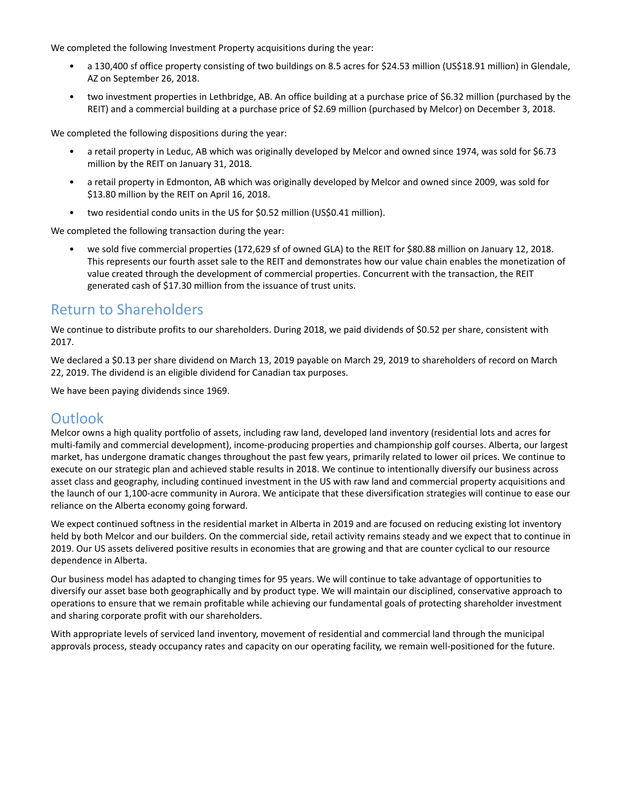We completed the following Investment Property acquisitions during the year:

- a 130,400 sf office property consisting of two buildings on 8.5 acres for \$24.53 million (US\$18.91 million) in Glendale, AZ on September 26, 2018.
- two investment properties in Lethbridge, AB. An office building at a purchase price of \$6.32 million (purchased by the REIT) and a commercial building at a purchase price of \$2.69 million (purchased by Melcor) on December 3, 2018.

We completed the following dispositions during the year:

- a retail property in Leduc, AB which was originally developed by Melcor and owned since 1974, was sold for \$6.73 million by the REIT on January 31, 2018.
- a retail property in Edmonton, AB which was originally developed by Melcor and owned since 2009, was sold for \$13.80 million by the REIT on April 16, 2018.
- two residential condo units in the US for \$0.52 million (US\$0.41 million).

We completed the following transaction during the year:

• we sold five commercial properties (172,629 sf of owned GLA) to the REIT for \$80.88 million on January 12, 2018. This represents our fourth asset sale to the REIT and demonstrates how our value chain enables the monetization of value created through the development of commercial properties. Concurrent with the transaction, the REIT generated cash of \$17.30 million from the issuance of trust units.

## Return to Shareholders

We continue to distribute profits to our shareholders. During 2018, we paid dividends of \$0.52 per share, consistent with 2017.

We declared a \$0.13 per share dividend on March 13, 2019 payable on March 29, 2019 to shareholders of record on March 22, 2019. The dividend is an eligible dividend for Canadian tax purposes.

We have been paying dividends since 1969.

## **Outlook**

Melcor owns a high quality portfolio of assets, including raw land, developed land inventory (residential lots and acres for multi-family and commercial development), income-producing properties and championship golf courses. Alberta, our largest market, has undergone dramatic changes throughout the past few years, primarily related to lower oil prices. We continue to execute on our strategic plan and achieved stable results in 2018. We continue to intentionally diversify our business across asset class and geography, including continued investment in the US with raw land and commercial property acquisitions and the launch of our 1,100-acre community in Aurora. We anticipate that these diversification strategies will continue to ease our reliance on the Alberta economy going forward.

We expect continued softness in the residential market in Alberta in 2019 and are focused on reducing existing lot inventory held by both Melcor and our builders. On the commercial side, retail activity remains steady and we expect that to continue in 2019. Our US assets delivered positive results in economies that are growing and that are counter cyclical to our resource dependence in Alberta.

Our business model has adapted to changing times for 95 years. We will continue to take advantage of opportunities to diversify our asset base both geographically and by product type. We will maintain our disciplined, conservative approach to operations to ensure that we remain profitable while achieving our fundamental goals of protecting shareholder investment and sharing corporate profit with our shareholders.

With appropriate levels of serviced land inventory, movement of residential and commercial land through the municipal approvals process, steady occupancy rates and capacity on our operating facility, we remain well-positioned for the future.